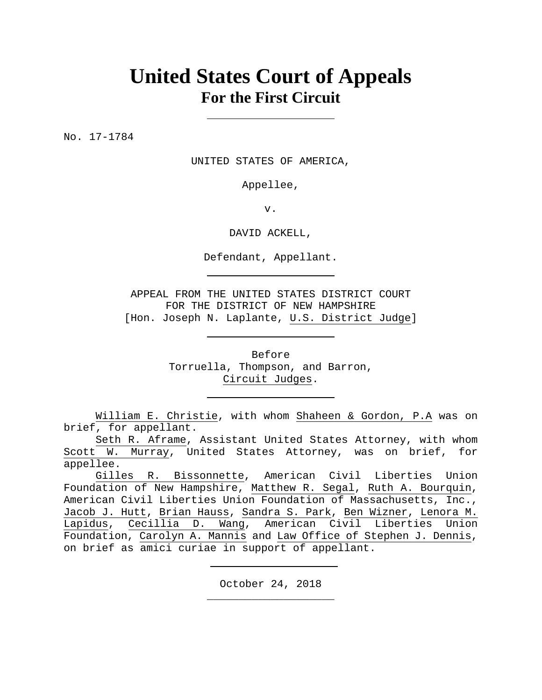# **United States Court of Appeals For the First Circuit**

No. 17-1784

UNITED STATES OF AMERICA,

Appellee,

v.

DAVID ACKELL,

Defendant, Appellant.

APPEAL FROM THE UNITED STATES DISTRICT COURT FOR THE DISTRICT OF NEW HAMPSHIRE [Hon. Joseph N. Laplante, U.S. District Judge]

> Before Torruella, Thompson, and Barron, Circuit Judges.

William E. Christie, with whom Shaheen & Gordon, P.A was on brief, for appellant.

Seth R. Aframe, Assistant United States Attorney, with whom Scott W. Murray, United States Attorney, was on brief, for appellee.

Gilles R. Bissonnette, American Civil Liberties Union Foundation of New Hampshire, Matthew R. Segal, Ruth A. Bourquin, American Civil Liberties Union Foundation of Massachusetts, Inc., Jacob J. Hutt, Brian Hauss, Sandra S. Park, Ben Wizner, Lenora M. Lapidus, Cecillia D. Wang, American Civil Liberties Union Foundation, Carolyn A. Mannis and Law Office of Stephen J. Dennis, on brief as amici curiae in support of appellant.

> October 24, 2018 **\_\_\_\_\_\_\_\_\_\_\_\_\_\_\_\_\_\_\_\_**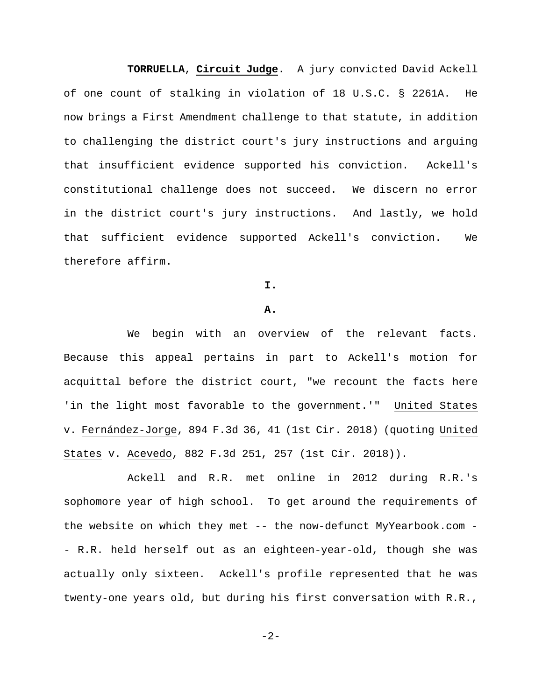**TORRUELLA**, **Circuit Judge**. A jury convicted David Ackell of one count of stalking in violation of 18 U.S.C. § 2261A. He now brings a First Amendment challenge to that statute, in addition to challenging the district court's jury instructions and arguing that insufficient evidence supported his conviction. Ackell's constitutional challenge does not succeed. We discern no error in the district court's jury instructions. And lastly, we hold that sufficient evidence supported Ackell's conviction. We therefore affirm.

**I.** 

#### **A.**

We begin with an overview of the relevant facts. Because this appeal pertains in part to Ackell's motion for acquittal before the district court, "we recount the facts here 'in the light most favorable to the government.'" United States v. Fernández-Jorge, 894 F.3d 36, 41 (1st Cir. 2018) (quoting United States v. Acevedo, 882 F.3d 251, 257 (1st Cir. 2018)).

Ackell and R.R. met online in 2012 during R.R.'s sophomore year of high school. To get around the requirements of the website on which they met -- the now-defunct MyYearbook.com - - R.R. held herself out as an eighteen-year-old, though she was actually only sixteen. Ackell's profile represented that he was twenty-one years old, but during his first conversation with R.R.,

 $-2-$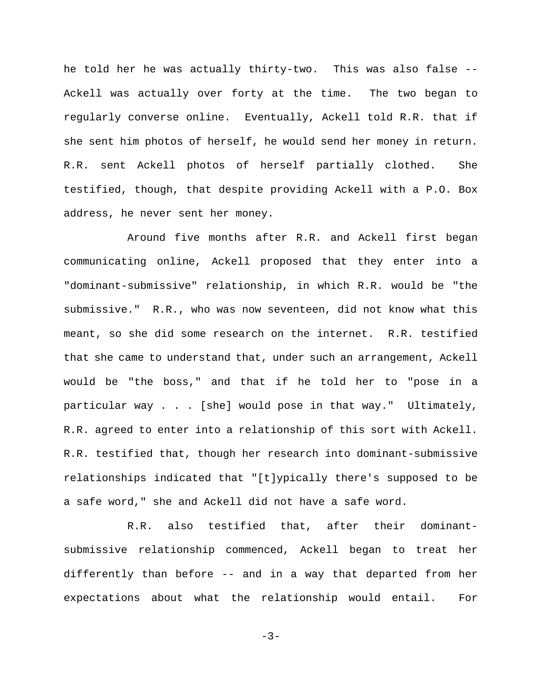he told her he was actually thirty-two. This was also false -- Ackell was actually over forty at the time.The two began to regularly converse online. Eventually, Ackell told R.R. that if she sent him photos of herself, he would send her money in return. R.R. sent Ackell photos of herself partially clothed. She testified, though, that despite providing Ackell with a P.O. Box address, he never sent her money.

Around five months after R.R. and Ackell first began communicating online, Ackell proposed that they enter into a "dominant-submissive" relationship, in which R.R. would be "the submissive." R.R., who was now seventeen, did not know what this meant, so she did some research on the internet.R.R. testified that she came to understand that, under such an arrangement, Ackell would be "the boss," and that if he told her to "pose in a particular way . . . [she] would pose in that way." Ultimately, R.R. agreed to enter into a relationship of this sort with Ackell. R.R. testified that, though her research into dominant-submissive relationships indicated that "[t]ypically there's supposed to be a safe word," she and Ackell did not have a safe word.

R.R. also testified that, after their dominantsubmissive relationship commenced, Ackell began to treat her differently than before -- and in a way that departed from her expectations about what the relationship would entail.For

$$
-3-
$$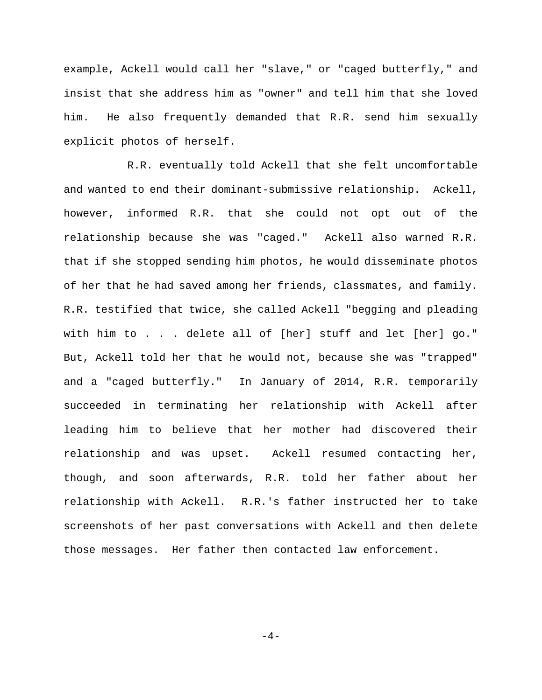example, Ackell would call her "slave," or "caged butterfly," and insist that she address him as "owner" and tell him that she loved him. He also frequently demanded that R.R. send him sexually explicit photos of herself.

R.R. eventually told Ackell that she felt uncomfortable and wanted to end their dominant-submissive relationship. Ackell, however, informed R.R. that she could not opt out of the relationship because she was "caged." Ackell also warned R.R. that if she stopped sending him photos, he would disseminate photos of her that he had saved among her friends, classmates, and family. R.R. testified that twice, she called Ackell "begging and pleading with him to . . . delete all of [her] stuff and let [her] go." But, Ackell told her that he would not, because she was "trapped" and a "caged butterfly." In January of 2014, R.R. temporarily succeeded in terminating her relationship with Ackell after leading him to believe that her mother had discovered their relationship and was upset.Ackell resumed contacting her, though, and soon afterwards, R.R. told her father about her relationship with Ackell.R.R.'s father instructed her to take screenshots of her past conversations with Ackell and then delete those messages. Her father then contacted law enforcement.

 $-4-$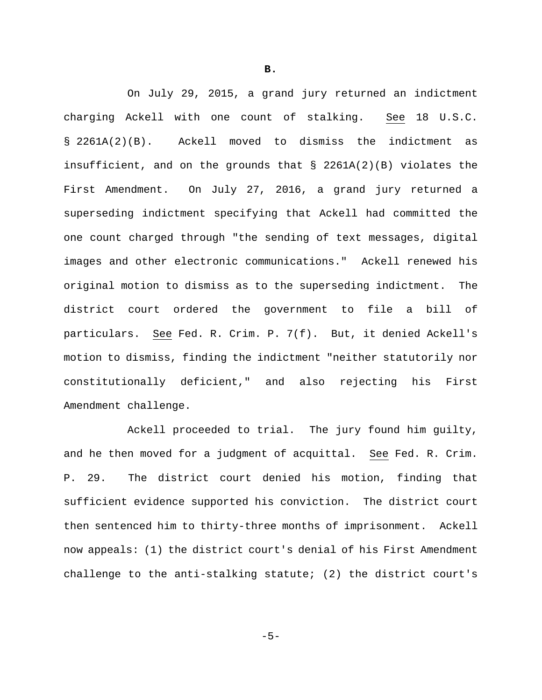On July 29, 2015, a grand jury returned an indictment charging Ackell with one count of stalking. See 18 U.S.C. § 2261A(2)(B). Ackell moved to dismiss the indictment as insufficient, and on the grounds that § 2261A(2)(B) violates the First Amendment.On July 27, 2016, a grand jury returned a superseding indictment specifying that Ackell had committed the one count charged through "the sending of text messages, digital images and other electronic communications." Ackell renewed his original motion to dismiss as to the superseding indictment.The district court ordered the government to file a bill of particulars. See Fed. R. Crim. P. 7(f). But, it denied Ackell's motion to dismiss, finding the indictment "neither statutorily nor constitutionally deficient," and also rejecting his First Amendment challenge.

Ackell proceeded to trial. The jury found him guilty, and he then moved for a judgment of acquittal. See Fed. R. Crim. P. 29.The district court denied his motion, finding that sufficient evidence supported his conviction.The district court then sentenced him to thirty-three months of imprisonment.Ackell now appeals: (1) the district court's denial of his First Amendment challenge to the anti-stalking statute; (2) the district court's

**B.** 

$$
-5-
$$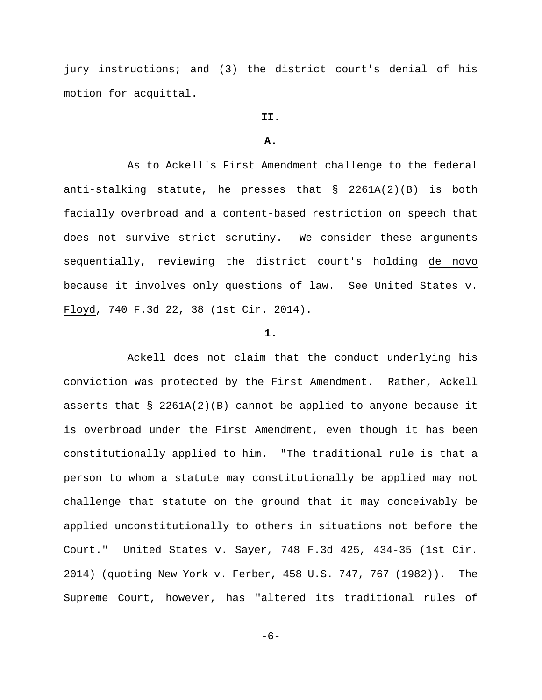jury instructions; and (3) the district court's denial of his motion for acquittal.

# **II.**

## **A.**

As to Ackell's First Amendment challenge to the federal anti-stalking statute, he presses that § 2261A(2)(B) is both facially overbroad and a content-based restriction on speech that does not survive strict scrutiny. We consider these arguments sequentially, reviewing the district court's holding de novo because it involves only questions of law. See United States v. Floyd, 740 F.3d 22, 38 (1st Cir. 2014).

### **1.**

Ackell does not claim that the conduct underlying his conviction was protected by the First Amendment. Rather, Ackell asserts that  $\S$  2261A(2)(B) cannot be applied to anyone because it is overbroad under the First Amendment, even though it has been constitutionally applied to him. "The traditional rule is that a person to whom a statute may constitutionally be applied may not challenge that statute on the ground that it may conceivably be applied unconstitutionally to others in situations not before the Court." United States v. Sayer, 748 F.3d 425, 434-35 (1st Cir. 2014) (quoting New York v. Ferber, 458 U.S. 747, 767 (1982)). The Supreme Court, however, has "altered its traditional rules of

-6-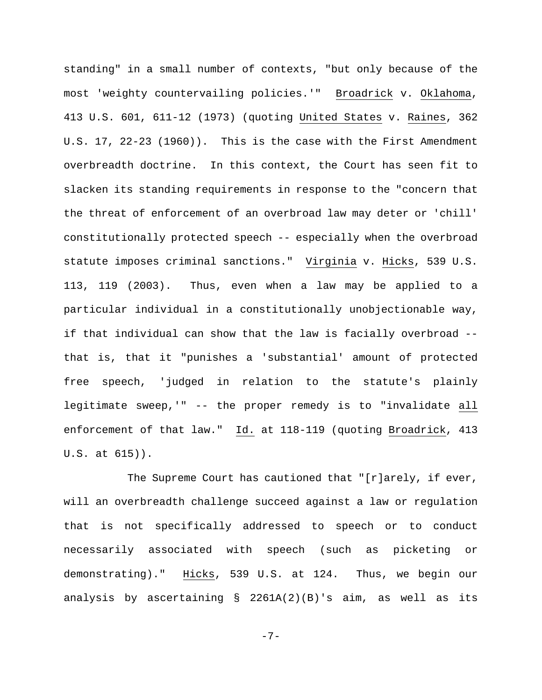standing" in a small number of contexts, "but only because of the most 'weighty countervailing policies.'" Broadrick v. Oklahoma, 413 U.S. 601, 611-12 (1973) (quoting United States v. Raines, 362 U.S. 17, 22-23 (1960)). This is the case with the First Amendment overbreadth doctrine. In this context, the Court has seen fit to slacken its standing requirements in response to the "concern that the threat of enforcement of an overbroad law may deter or 'chill' constitutionally protected speech -- especially when the overbroad statute imposes criminal sanctions." Virginia v. Hicks, 539 U.S. 113, 119 (2003). Thus, even when a law may be applied to a particular individual in a constitutionally unobjectionable way, if that individual can show that the law is facially overbroad - that is, that it "punishes a 'substantial' amount of protected free speech, 'judged in relation to the statute's plainly legitimate sweep,'" -- the proper remedy is to "invalidate all enforcement of that law." Id. at 118-119 (quoting Broadrick, 413 U.S. at 615)).

The Supreme Court has cautioned that "[r]arely, if ever, will an overbreadth challenge succeed against a law or regulation that is not specifically addressed to speech or to conduct necessarily associated with speech (such as picketing or demonstrating)." Hicks, 539 U.S. at 124. Thus, we begin our analysis by ascertaining  $\S$  2261A(2)(B)'s aim, as well as its

-7-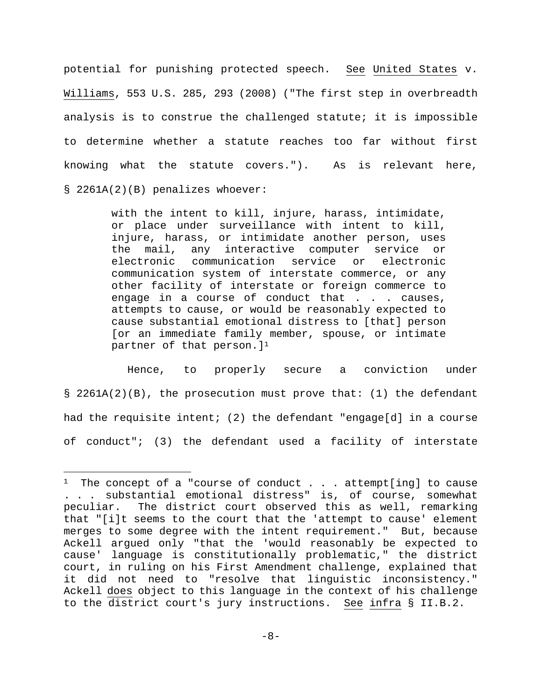potential for punishing protected speech. See United States v. Williams, 553 U.S. 285, 293 (2008) ("The first step in overbreadth analysis is to construe the challenged statute; it is impossible to determine whether a statute reaches too far without first knowing what the statute covers."). As is relevant here, § 2261A(2)(B) penalizes whoever:

> with the intent to kill, injure, harass, intimidate, or place under surveillance with intent to kill, injure, harass, or intimidate another person, uses the mail, any interactive computer service or electronic communication service or electronic communication system of interstate commerce, or any other facility of interstate or foreign commerce to engage in a course of conduct that  $\ldots$  causes, attempts to cause, or would be reasonably expected to cause substantial emotional distress to [that] person [or an immediate family member, spouse, or intimate partner of that person. ]<sup>1</sup>

Hence, to properly secure a conviction under § 2261A(2)(B), the prosecution must prove that: (1) the defendant had the requisite intent; (2) the defendant "engage[d] in a course of conduct"; (3) the defendant used a facility of interstate

i

<sup>&</sup>lt;sup>1</sup> The concept of a "course of conduct . . . attempt[ing] to cause . . . substantial emotional distress" is, of course, somewhat peculiar. The district court observed this as well, remarking that "[i]t seems to the court that the 'attempt to cause' element merges to some degree with the intent requirement." But, because Ackell argued only "that the 'would reasonably be expected to cause' language is constitutionally problematic," the district court, in ruling on his First Amendment challenge, explained that it did not need to "resolve that linguistic inconsistency." Ackell does object to this language in the context of his challenge to the district court's jury instructions. See infra § II.B.2.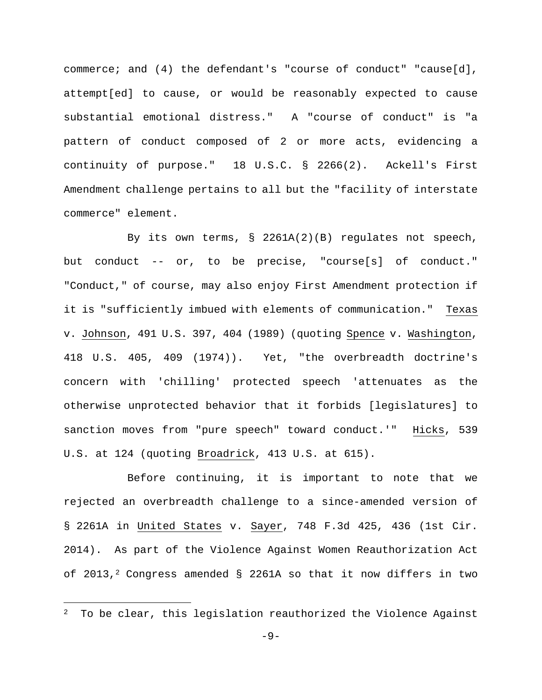commerce; and (4) the defendant's "course of conduct" "cause[d], attempt[ed] to cause, or would be reasonably expected to cause substantial emotional distress." A "course of conduct" is "a pattern of conduct composed of 2 or more acts, evidencing a continuity of purpose." 18 U.S.C. § 2266(2). Ackell's First Amendment challenge pertains to all but the "facility of interstate commerce" element.

By its own terms, § 2261A(2)(B) regulates not speech, but conduct -- or, to be precise, "course[s] of conduct." "Conduct," of course, may also enjoy First Amendment protection if it is "sufficiently imbued with elements of communication." Texas v. Johnson, 491 U.S. 397, 404 (1989) (quoting Spence v. Washington, 418 U.S. 405, 409 (1974)). Yet, "the overbreadth doctrine's concern with 'chilling' protected speech 'attenuates as the otherwise unprotected behavior that it forbids [legislatures] to sanction moves from "pure speech" toward conduct.'" Hicks, 539 U.S. at 124 (quoting Broadrick, 413 U.S. at 615).

Before continuing, it is important to note that we rejected an overbreadth challenge to a since-amended version of § 2261A in United States v. Sayer, 748 F.3d 425, 436 (1st Cir. 2014). As part of the Violence Against Women Reauthorization Act of 2013,<sup>2</sup> Congress amended  $\S$  2261A so that it now differs in two

 $\overline{\phantom{0}}$ 

<sup>2</sup> To be clear, this legislation reauthorized the Violence Against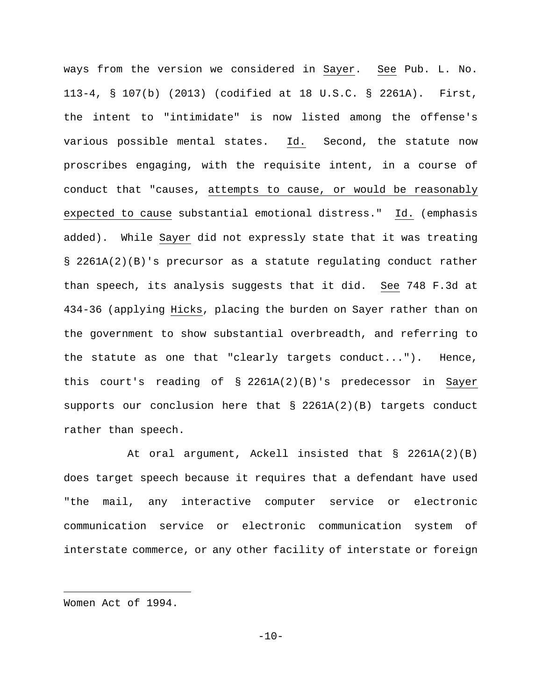ways from the version we considered in Sayer. See Pub. L. No. 113-4, § 107(b) (2013) (codified at 18 U.S.C. § 2261A). First, the intent to "intimidate" is now listed among the offense's various possible mental states. Id. Second, the statute now proscribes engaging, with the requisite intent, in a course of conduct that "causes, attempts to cause, or would be reasonably expected to cause substantial emotional distress." Id. (emphasis added). While Sayer did not expressly state that it was treating § 2261A(2)(B)'s precursor as a statute regulating conduct rather than speech, its analysis suggests that it did. See 748 F.3d at 434-36 (applying Hicks, placing the burden on Sayer rather than on the government to show substantial overbreadth, and referring to the statute as one that "clearly targets conduct..."). Hence, this court's reading of § 2261A(2)(B)'s predecessor in Sayer supports our conclusion here that § 2261A(2)(B) targets conduct rather than speech.

At oral argument, Ackell insisted that § 2261A(2)(B) does target speech because it requires that a defendant have used "the mail, any interactive computer service or electronic communication service or electronic communication system of interstate commerce, or any other facility of interstate or foreign

i<br>Li

Women Act of 1994.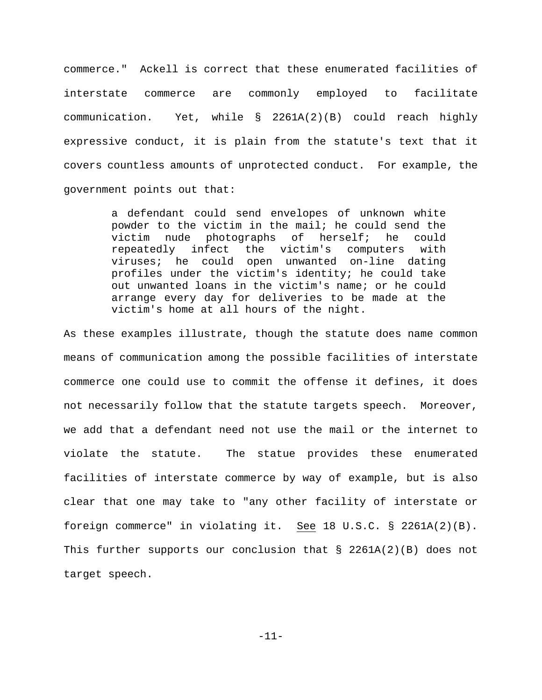commerce." Ackell is correct that these enumerated facilities of interstate commerce are commonly employed to facilitate communication. Yet, while § 2261A(2)(B) could reach highly expressive conduct, it is plain from the statute's text that it covers countless amounts of unprotected conduct. For example, the government points out that:

> a defendant could send envelopes of unknown white powder to the victim in the mail; he could send the victim nude photographs of herself; he could repeatedly infect the victim's computers with viruses; he could open unwanted on-line dating profiles under the victim's identity; he could take out unwanted loans in the victim's name; or he could arrange every day for deliveries to be made at the victim's home at all hours of the night.

As these examples illustrate, though the statute does name common means of communication among the possible facilities of interstate commerce one could use to commit the offense it defines, it does not necessarily follow that the statute targets speech. Moreover, we add that a defendant need not use the mail or the internet to violate the statute. The statue provides these enumerated facilities of interstate commerce by way of example, but is also clear that one may take to "any other facility of interstate or foreign commerce" in violating it. See 18 U.S.C. § 2261A(2)(B). This further supports our conclusion that § 2261A(2)(B) does not target speech.

-11-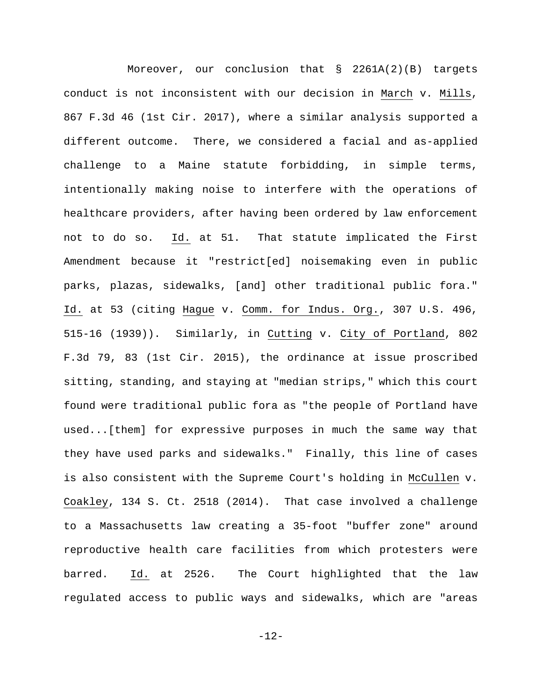Moreover, our conclusion that § 2261A(2)(B) targets conduct is not inconsistent with our decision in March v. Mills, 867 F.3d 46 (1st Cir. 2017), where a similar analysis supported a different outcome. There, we considered a facial and as-applied challenge to a Maine statute forbidding, in simple terms, intentionally making noise to interfere with the operations of healthcare providers, after having been ordered by law enforcement not to do so. Id. at 51. That statute implicated the First Amendment because it "restrict[ed] noisemaking even in public parks, plazas, sidewalks, [and] other traditional public fora." Id. at 53 (citing Hague v. Comm. for Indus. Org., 307 U.S. 496, 515-16 (1939)). Similarly, in Cutting v. City of Portland, 802 F.3d 79, 83 (1st Cir. 2015), the ordinance at issue proscribed sitting, standing, and staying at "median strips," which this court found were traditional public fora as "the people of Portland have used...[them] for expressive purposes in much the same way that they have used parks and sidewalks." Finally, this line of cases is also consistent with the Supreme Court's holding in McCullen v. Coakley, 134 S. Ct. 2518 (2014). That case involved a challenge to a Massachusetts law creating a 35-foot "buffer zone" around reproductive health care facilities from which protesters were barred. Id. at 2526. The Court highlighted that the law regulated access to public ways and sidewalks, which are "areas

-12-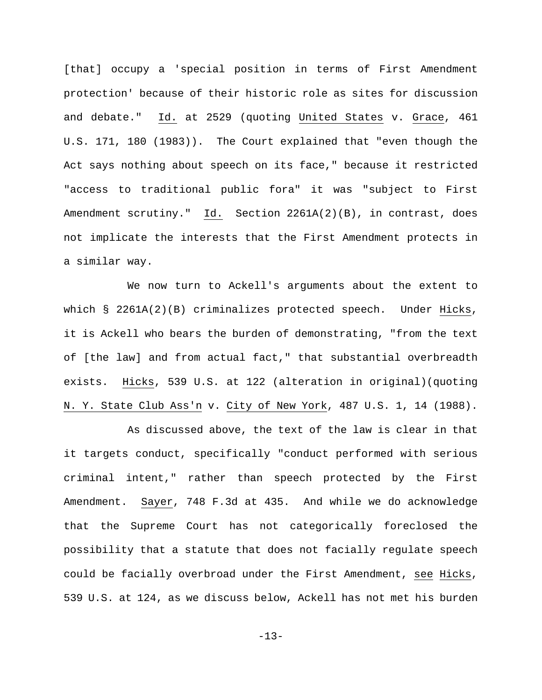[that] occupy a 'special position in terms of First Amendment protection' because of their historic role as sites for discussion and debate." Id. at 2529 (quoting United States v. Grace, 461 U.S. 171, 180 (1983)). The Court explained that "even though the Act says nothing about speech on its face," because it restricted "access to traditional public fora" it was "subject to First Amendment scrutiny." Id. Section 2261A(2)(B), in contrast, does not implicate the interests that the First Amendment protects in a similar way.

We now turn to Ackell's arguments about the extent to which § 2261A(2)(B) criminalizes protected speech. Under Hicks, it is Ackell who bears the burden of demonstrating, "from the text of [the law] and from actual fact," that substantial overbreadth exists. Hicks, 539 U.S. at 122 (alteration in original)(quoting N. Y. State Club Ass'n v. City of New York, 487 U.S. 1, 14 (1988).

As discussed above, the text of the law is clear in that it targets conduct, specifically "conduct performed with serious criminal intent," rather than speech protected by the First Amendment. Sayer, 748 F.3d at 435. And while we do acknowledge that the Supreme Court has not categorically foreclosed the possibility that a statute that does not facially regulate speech could be facially overbroad under the First Amendment, see Hicks, 539 U.S. at 124, as we discuss below, Ackell has not met his burden

-13-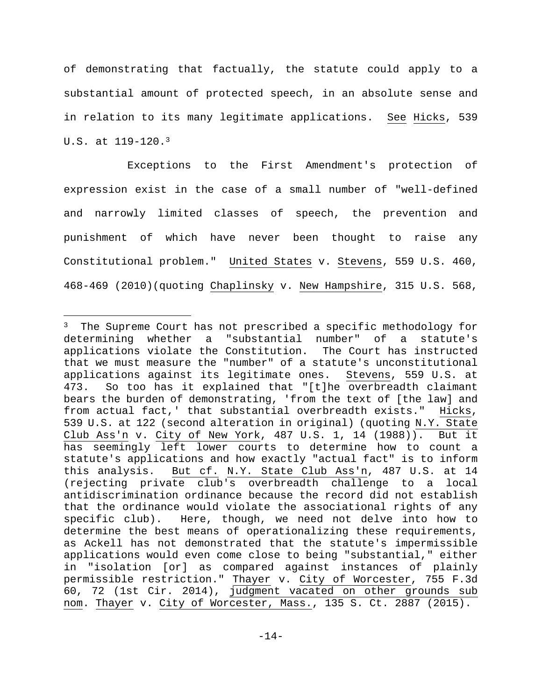of demonstrating that factually, the statute could apply to a substantial amount of protected speech, in an absolute sense and in relation to its many legitimate applications. See Hicks, 539 U.S. at 119-120.3

Exceptions to the First Amendment's protection of expression exist in the case of a small number of "well-defined and narrowly limited classes of speech, the prevention and punishment of which have never been thought to raise any Constitutional problem." United States v. Stevens, 559 U.S. 460, 468-469 (2010)(quoting Chaplinsky v. New Hampshire, 315 U.S. 568,

i<br>Li

<sup>&</sup>lt;sup>3</sup> The Supreme Court has not prescribed a specific methodology for determining whether a "substantial number" of a statute's applications violate the Constitution. The Court has instructed that we must measure the "number" of a statute's unconstitutional applications against its legitimate ones. Stevens, 559 U.S. at 473. So too has it explained that "[t]he overbreadth claimant bears the burden of demonstrating, 'from the text of [the law] and from actual fact,' that substantial overbreadth exists." Hicks, 539 U.S. at 122 (second alteration in original) (quoting N.Y. State Club Ass'n v. City of New York, 487 U.S. 1, 14 (1988)). But it has seemingly left lower courts to determine how to count a statute's applications and how exactly "actual fact" is to inform this analysis. But cf. N.Y. State Club Ass'n, 487 U.S. at 14 (rejecting private club's overbreadth challenge to a local antidiscrimination ordinance because the record did not establish that the ordinance would violate the associational rights of any specific club). Here, though, we need not delve into how to determine the best means of operationalizing these requirements, as Ackell has not demonstrated that the statute's impermissible applications would even come close to being "substantial," either in "isolation [or] as compared against instances of plainly permissible restriction." Thayer v. City of Worcester, 755 F.3d 60, 72 (1st Cir. 2014), judgment vacated on other grounds sub nom. Thayer v. City of Worcester, Mass., 135 S. Ct. 2887 (2015).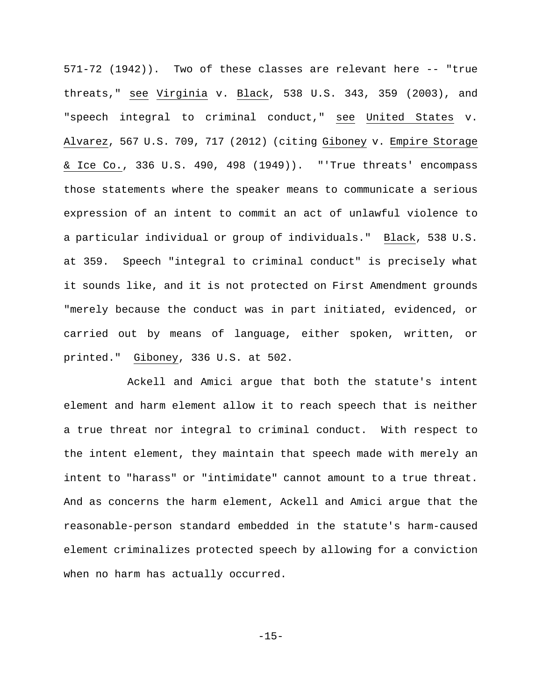571-72 (1942)). Two of these classes are relevant here -- "true threats," see Virginia v. Black, 538 U.S. 343, 359 (2003), and "speech integral to criminal conduct," see United States v. Alvarez, 567 U.S. 709, 717 (2012) (citing Giboney v. Empire Storage & Ice Co., 336 U.S. 490, 498 (1949)). "'True threats' encompass those statements where the speaker means to communicate a serious expression of an intent to commit an act of unlawful violence to a particular individual or group of individuals." Black, 538 U.S. at 359. Speech "integral to criminal conduct" is precisely what it sounds like, and it is not protected on First Amendment grounds "merely because the conduct was in part initiated, evidenced, or carried out by means of language, either spoken, written, or printed." Giboney, 336 U.S. at 502.

Ackell and Amici argue that both the statute's intent element and harm element allow it to reach speech that is neither a true threat nor integral to criminal conduct. With respect to the intent element, they maintain that speech made with merely an intent to "harass" or "intimidate" cannot amount to a true threat. And as concerns the harm element, Ackell and Amici argue that the reasonable-person standard embedded in the statute's harm-caused element criminalizes protected speech by allowing for a conviction when no harm has actually occurred.

-15-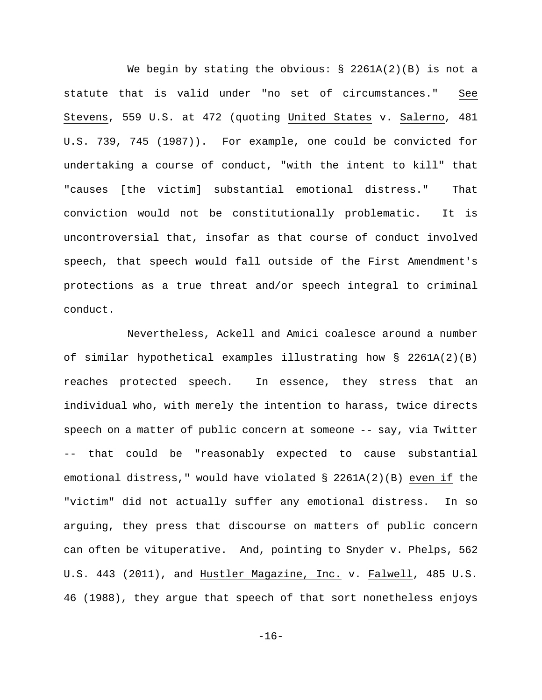We begin by stating the obvious:  $\S$  2261A(2)(B) is not a statute that is valid under "no set of circumstances." See Stevens, 559 U.S. at 472 (quoting United States v. Salerno, 481 U.S. 739, 745 (1987)). For example, one could be convicted for undertaking a course of conduct, "with the intent to kill" that "causes [the victim] substantial emotional distress." That conviction would not be constitutionally problematic. It is uncontroversial that, insofar as that course of conduct involved speech, that speech would fall outside of the First Amendment's protections as a true threat and/or speech integral to criminal conduct.

Nevertheless, Ackell and Amici coalesce around a number of similar hypothetical examples illustrating how § 2261A(2)(B) reaches protected speech. In essence, they stress that an individual who, with merely the intention to harass, twice directs speech on a matter of public concern at someone -- say, via Twitter that could be "reasonably expected to cause substantial emotional distress," would have violated § 2261A(2)(B) even if the "victim" did not actually suffer any emotional distress. In so arguing, they press that discourse on matters of public concern can often be vituperative. And, pointing to Snyder v. Phelps, 562 U.S. 443 (2011), and Hustler Magazine, Inc. v. Falwell, 485 U.S. 46 (1988), they argue that speech of that sort nonetheless enjoys

-16-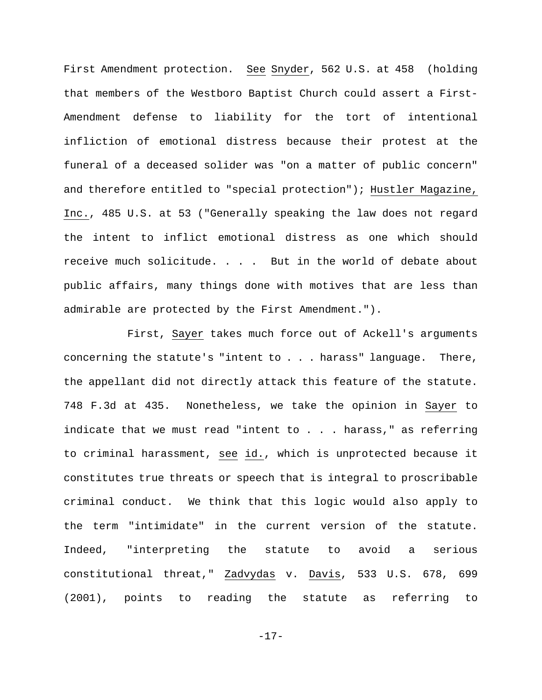First Amendment protection. See Snyder, 562 U.S. at 458 (holding that members of the Westboro Baptist Church could assert a First-Amendment defense to liability for the tort of intentional infliction of emotional distress because their protest at the funeral of a deceased solider was "on a matter of public concern" and therefore entitled to "special protection"); Hustler Magazine, Inc., 485 U.S. at 53 ("Generally speaking the law does not regard the intent to inflict emotional distress as one which should receive much solicitude. . . . But in the world of debate about public affairs, many things done with motives that are less than admirable are protected by the First Amendment.").

First, Sayer takes much force out of Ackell's arguments concerning the statute's "intent to . . . harass" language. There, the appellant did not directly attack this feature of the statute. 748 F.3d at 435. Nonetheless, we take the opinion in Sayer to indicate that we must read "intent to . . . harass," as referring to criminal harassment, see id., which is unprotected because it constitutes true threats or speech that is integral to proscribable criminal conduct. We think that this logic would also apply to the term "intimidate" in the current version of the statute. Indeed, "interpreting the statute to avoid a serious constitutional threat," Zadvydas v. Davis, 533 U.S. 678, 699 (2001), points to reading the statute as referring to

-17-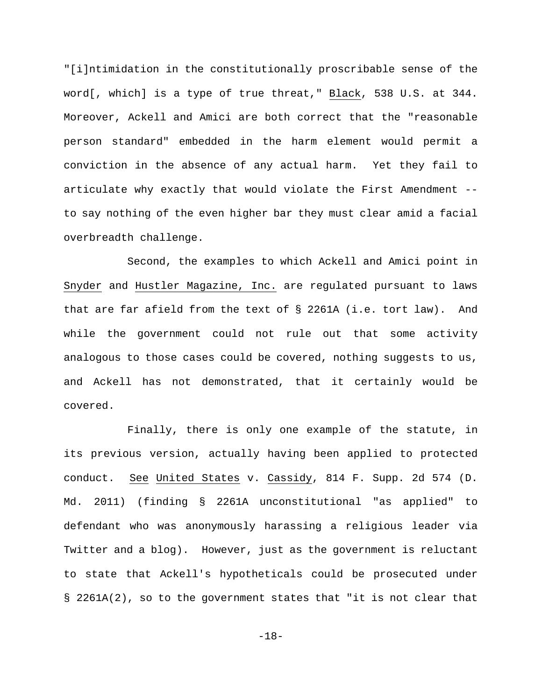"[i]ntimidation in the constitutionally proscribable sense of the word[, which] is a type of true threat," Black, 538 U.S. at 344. Moreover, Ackell and Amici are both correct that the "reasonable person standard" embedded in the harm element would permit a conviction in the absence of any actual harm. Yet they fail to articulate why exactly that would violate the First Amendment - to say nothing of the even higher bar they must clear amid a facial overbreadth challenge.

Second, the examples to which Ackell and Amici point in Snyder and Hustler Magazine, Inc. are regulated pursuant to laws that are far afield from the text of § 2261A (i.e. tort law). And while the government could not rule out that some activity analogous to those cases could be covered, nothing suggests to us, and Ackell has not demonstrated, that it certainly would be covered.

Finally, there is only one example of the statute, in its previous version, actually having been applied to protected conduct. See United States v. Cassidy, 814 F. Supp. 2d 574 (D. Md. 2011) (finding § 2261A unconstitutional "as applied" to defendant who was anonymously harassing a religious leader via Twitter and a blog). However, just as the government is reluctant to state that Ackell's hypotheticals could be prosecuted under § 2261A(2), so to the government states that "it is not clear that

-18-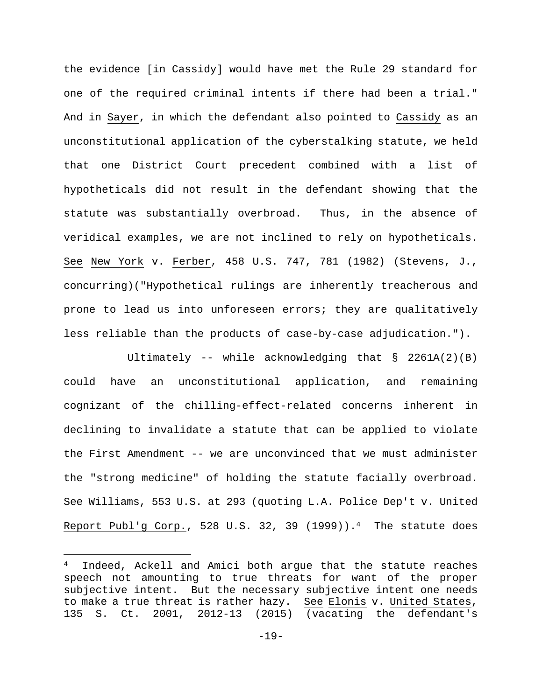the evidence [in Cassidy] would have met the Rule 29 standard for one of the required criminal intents if there had been a trial." And in Sayer, in which the defendant also pointed to Cassidy as an unconstitutional application of the cyberstalking statute, we held that one District Court precedent combined with a list of hypotheticals did not result in the defendant showing that the statute was substantially overbroad. Thus, in the absence of veridical examples, we are not inclined to rely on hypotheticals. See New York v. Ferber, 458 U.S. 747, 781 (1982) (Stevens, J., concurring)("Hypothetical rulings are inherently treacherous and prone to lead us into unforeseen errors; they are qualitatively less reliable than the products of case-by-case adjudication.").

Ultimately -- while acknowledging that § 2261A(2)(B) could have an unconstitutional application, and remaining cognizant of the chilling-effect-related concerns inherent in declining to invalidate a statute that can be applied to violate the First Amendment -- we are unconvinced that we must administer the "strong medicine" of holding the statute facially overbroad. See Williams, 553 U.S. at 293 (quoting L.A. Police Dep't v. United Report Publ'g Corp., 528 U.S. 32, 39  $(1999)$ ).<sup>4</sup> The statute does

i<br>Li

Indeed, Ackell and Amici both argue that the statute reaches speech not amounting to true threats for want of the proper subjective intent. But the necessary subjective intent one needs to make a true threat is rather hazy. See Elonis v. United States, 135 S. Ct. 2001, 2012-13 (2015) (vacating the defendant's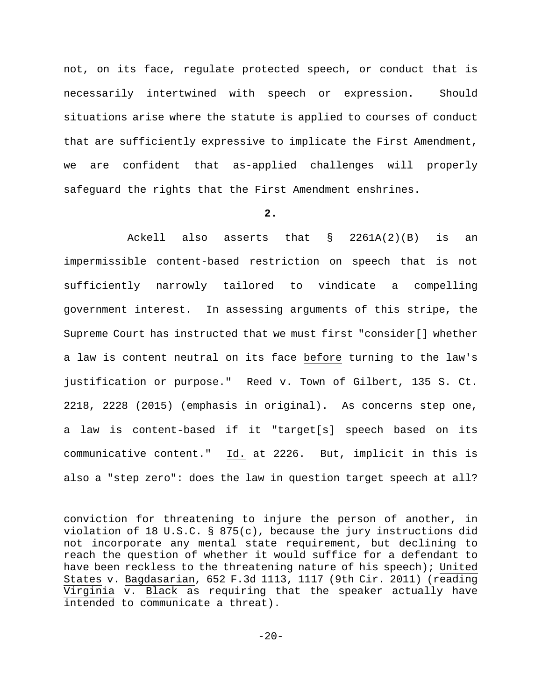not, on its face, regulate protected speech, or conduct that is necessarily intertwined with speech or expression. Should situations arise where the statute is applied to courses of conduct that are sufficiently expressive to implicate the First Amendment, we are confident that as-applied challenges will properly safeguard the rights that the First Amendment enshrines.

# **2.**

Ackell also asserts that § 2261A(2)(B) is an impermissible content-based restriction on speech that is not sufficiently narrowly tailored to vindicate a compelling government interest. In assessing arguments of this stripe, the Supreme Court has instructed that we must first "consider[] whether a law is content neutral on its face before turning to the law's justification or purpose." Reed v. Town of Gilbert, 135 S. Ct. 2218, 2228 (2015) (emphasis in original). As concerns step one, a law is content-based if it "target[s] speech based on its communicative content." Id. at 2226. But, implicit in this is also a "step zero": does the law in question target speech at all?

i<br>Li

conviction for threatening to injure the person of another, in violation of 18 U.S.C. § 875(c), because the jury instructions did not incorporate any mental state requirement, but declining to reach the question of whether it would suffice for a defendant to have been reckless to the threatening nature of his speech); United States v. Bagdasarian, 652 F.3d 1113, 1117 (9th Cir. 2011) (reading Virginia v. Black as requiring that the speaker actually have intended to communicate a threat).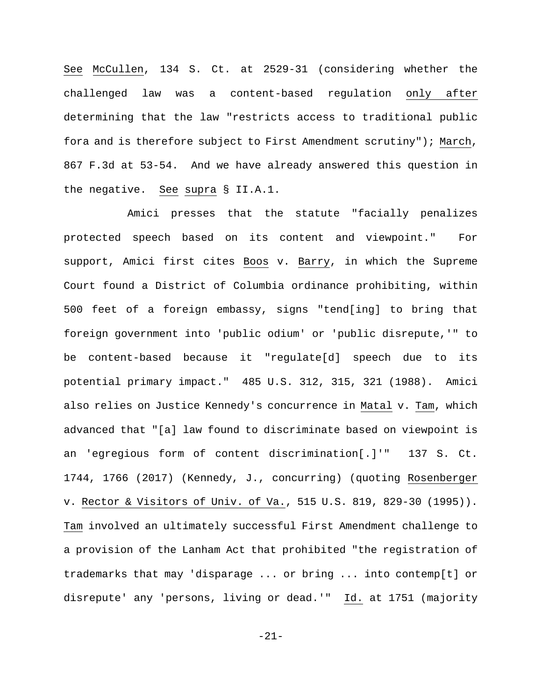See McCullen, 134 S. Ct. at 2529-31 (considering whether the challenged law was a content-based regulation only after determining that the law "restricts access to traditional public fora and is therefore subject to First Amendment scrutiny"); March, 867 F.3d at 53-54. And we have already answered this question in the negative. See supra § II.A.1.

Amici presses that the statute "facially penalizes protected speech based on its content and viewpoint." For support, Amici first cites Boos v. Barry, in which the Supreme Court found a District of Columbia ordinance prohibiting, within 500 feet of a foreign embassy, signs "tend[ing] to bring that foreign government into 'public odium' or 'public disrepute,'" to be content-based because it "regulate[d] speech due to its potential primary impact." 485 U.S. 312, 315, 321 (1988). Amici also relies on Justice Kennedy's concurrence in Matal v. Tam, which advanced that "[a] law found to discriminate based on viewpoint is an 'egregious form of content discrimination[.]'" 137 S. Ct. 1744, 1766 (2017) (Kennedy, J., concurring) (quoting Rosenberger v. Rector & Visitors of Univ. of Va., 515 U.S. 819, 829-30 (1995)). Tam involved an ultimately successful First Amendment challenge to a provision of the Lanham Act that prohibited "the registration of trademarks that may 'disparage ... or bring ... into contemp[t] or disrepute' any 'persons, living or dead.'" Id. at 1751 (majority

-21-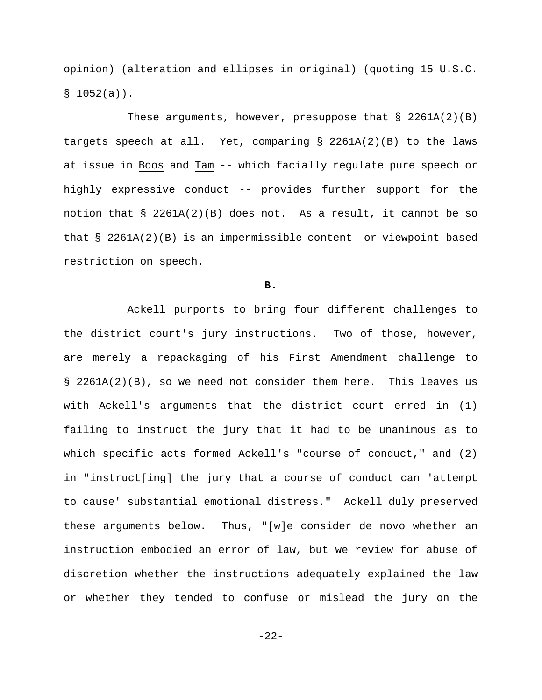opinion) (alteration and ellipses in original) (quoting 15 U.S.C.  $$1052(a)$ .

These arguments, however, presuppose that  $\S$  2261A(2)(B) targets speech at all. Yet, comparing  $\S$  2261A(2)(B) to the laws at issue in Boos and Tam -- which facially regulate pure speech or highly expressive conduct -- provides further support for the notion that § 2261A(2)(B) does not. As a result, it cannot be so that  $\S$  2261A(2)(B) is an impermissible content- or viewpoint-based restriction on speech.

**B.** 

Ackell purports to bring four different challenges to the district court's jury instructions. Two of those, however, are merely a repackaging of his First Amendment challenge to § 2261A(2)(B), so we need not consider them here. This leaves us with Ackell's arguments that the district court erred in (1) failing to instruct the jury that it had to be unanimous as to which specific acts formed Ackell's "course of conduct," and (2) in "instruct[ing] the jury that a course of conduct can 'attempt to cause' substantial emotional distress." Ackell duly preserved these arguments below. Thus, "[w]e consider de novo whether an instruction embodied an error of law, but we review for abuse of discretion whether the instructions adequately explained the law or whether they tended to confuse or mislead the jury on the

-22-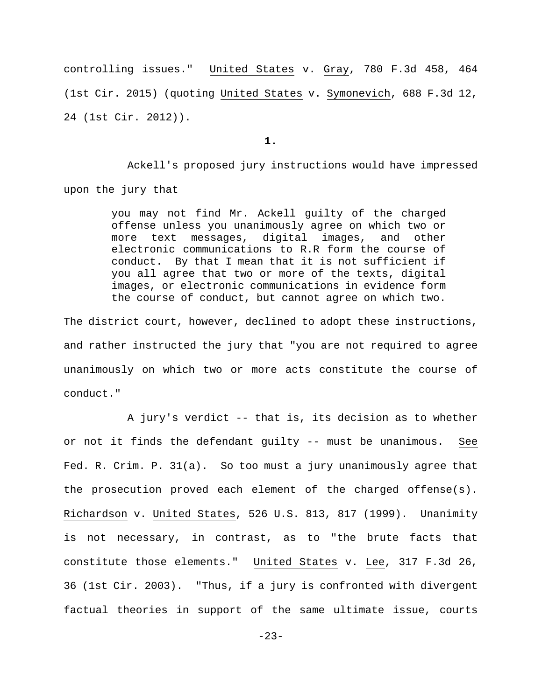controlling issues." United States v. Gray, 780 F.3d 458, 464 (1st Cir. 2015) (quoting United States v. Symonevich, 688 F.3d 12, 24 (1st Cir. 2012)).

**1.** 

Ackell's proposed jury instructions would have impressed upon the jury that

> you may not find Mr. Ackell guilty of the charged offense unless you unanimously agree on which two or more text messages, digital images, and other electronic communications to R.R form the course of conduct. By that I mean that it is not sufficient if you all agree that two or more of the texts, digital images, or electronic communications in evidence form the course of conduct, but cannot agree on which two.

The district court, however, declined to adopt these instructions, and rather instructed the jury that "you are not required to agree unanimously on which two or more acts constitute the course of conduct."

 A jury's verdict -- that is, its decision as to whether or not it finds the defendant guilty -- must be unanimous. See Fed. R. Crim. P. 31(a). So too must a jury unanimously agree that the prosecution proved each element of the charged offense(s). Richardson v. United States, 526 U.S. 813, 817 (1999). Unanimity is not necessary, in contrast, as to "the brute facts that constitute those elements." United States v. Lee, 317 F.3d 26, 36 (1st Cir. 2003). "Thus, if a jury is confronted with divergent factual theories in support of the same ultimate issue, courts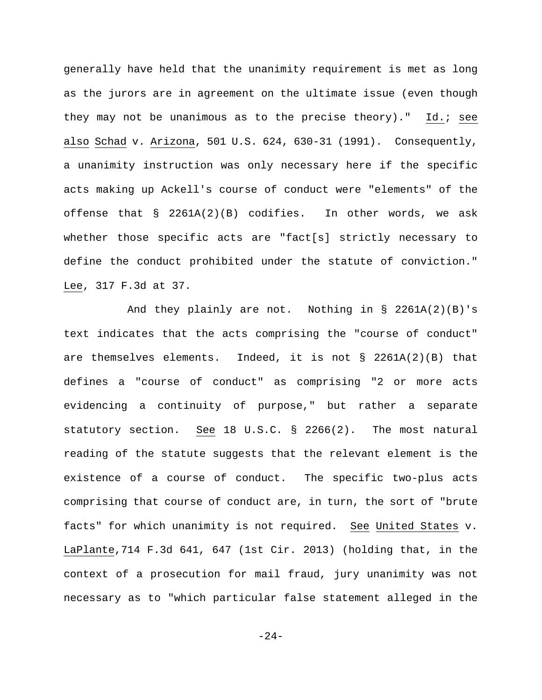generally have held that the unanimity requirement is met as long as the jurors are in agreement on the ultimate issue (even though they may not be unanimous as to the precise theory)." Id.; see also Schad v. Arizona, 501 U.S. 624, 630-31 (1991). Consequently, a unanimity instruction was only necessary here if the specific acts making up Ackell's course of conduct were "elements" of the offense that § 2261A(2)(B) codifies. In other words, we ask whether those specific acts are "fact[s] strictly necessary to define the conduct prohibited under the statute of conviction." Lee, 317 F.3d at 37.

And they plainly are not. Nothing in § 2261A(2)(B)'s text indicates that the acts comprising the "course of conduct" are themselves elements. Indeed, it is not § 2261A(2)(B) that defines a "course of conduct" as comprising "2 or more acts evidencing a continuity of purpose," but rather a separate statutory section. See 18 U.S.C. § 2266(2). The most natural reading of the statute suggests that the relevant element is the existence of a course of conduct. The specific two-plus acts comprising that course of conduct are, in turn, the sort of "brute facts" for which unanimity is not required. See United States v. LaPlante,714 F.3d 641, 647 (1st Cir. 2013) (holding that, in the context of a prosecution for mail fraud, jury unanimity was not necessary as to "which particular false statement alleged in the

-24-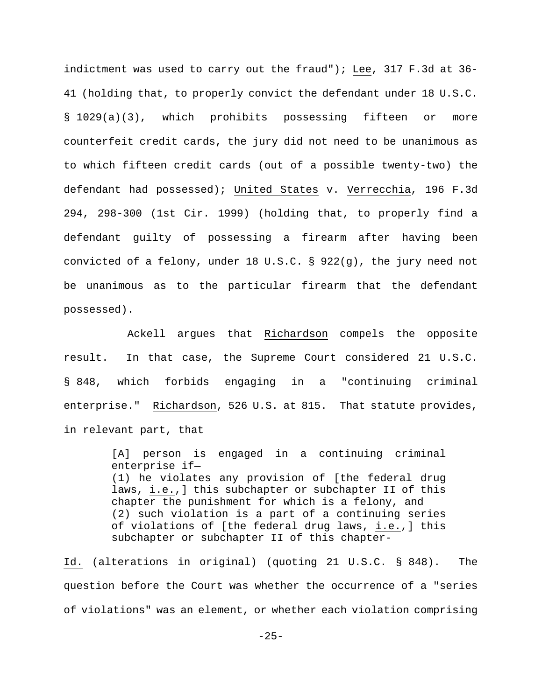indictment was used to carry out the fraud"); Lee, 317 F.3d at 36- 41 (holding that, to properly convict the defendant under 18 U.S.C. § 1029(a)(3), which prohibits possessing fifteen or more counterfeit credit cards, the jury did not need to be unanimous as to which fifteen credit cards (out of a possible twenty-two) the defendant had possessed); United States v. Verrecchia, 196 F.3d 294, 298-300 (1st Cir. 1999) (holding that, to properly find a defendant guilty of possessing a firearm after having been convicted of a felony, under 18 U.S.C. § 922(g), the jury need not be unanimous as to the particular firearm that the defendant possessed).

Ackell argues that Richardson compels the opposite result. In that case, the Supreme Court considered 21 U.S.C. § 848, which forbids engaging in a "continuing criminal enterprise." Richardson, 526 U.S. at 815. That statute provides, in relevant part, that

> [A] person is engaged in a continuing criminal enterprise if— (1) he violates any provision of [the federal drug laws, i.e.,] this subchapter or subchapter II of this chapter the punishment for which is a felony, and (2) such violation is a part of a continuing series of violations of [the federal drug laws, i.e.,] this subchapter or subchapter II of this chapter-

Id. (alterations in original) (quoting 21 U.S.C. § 848). The question before the Court was whether the occurrence of a "series of violations" was an element, or whether each violation comprising

 $-25-$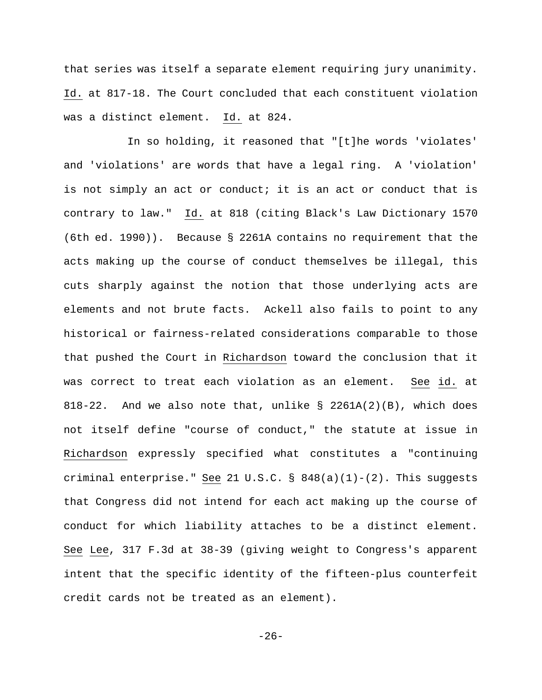that series was itself a separate element requiring jury unanimity. Id. at 817-18. The Court concluded that each constituent violation was a distinct element. Id. at 824.

In so holding, it reasoned that "[t]he words 'violates' and 'violations' are words that have a legal ring. A 'violation' is not simply an act or conduct; it is an act or conduct that is contrary to law." Id. at 818 (citing Black's Law Dictionary 1570 (6th ed. 1990)). Because § 2261A contains no requirement that the acts making up the course of conduct themselves be illegal, this cuts sharply against the notion that those underlying acts are elements and not brute facts. Ackell also fails to point to any historical or fairness-related considerations comparable to those that pushed the Court in Richardson toward the conclusion that it was correct to treat each violation as an element. See id. at 818-22. And we also note that, unlike  $\S$  2261A(2)(B), which does not itself define "course of conduct," the statute at issue in Richardson expressly specified what constitutes a "continuing criminal enterprise." See 21 U.S.C. §  $848(a)(1)-(2)$ . This suggests that Congress did not intend for each act making up the course of conduct for which liability attaches to be a distinct element. See Lee, 317 F.3d at 38-39 (giving weight to Congress's apparent intent that the specific identity of the fifteen-plus counterfeit credit cards not be treated as an element).

-26-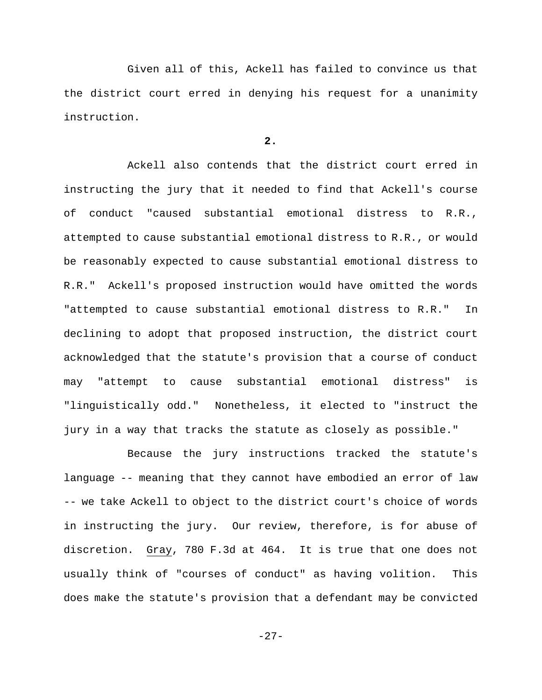Given all of this, Ackell has failed to convince us that the district court erred in denying his request for a unanimity instruction.

# **2.**

Ackell also contends that the district court erred in instructing the jury that it needed to find that Ackell's course of conduct "caused substantial emotional distress to R.R., attempted to cause substantial emotional distress to R.R., or would be reasonably expected to cause substantial emotional distress to R.R." Ackell's proposed instruction would have omitted the words "attempted to cause substantial emotional distress to R.R." In declining to adopt that proposed instruction, the district court acknowledged that the statute's provision that a course of conduct may "attempt to cause substantial emotional distress" is "linguistically odd." Nonetheless, it elected to "instruct the jury in a way that tracks the statute as closely as possible."

Because the jury instructions tracked the statute's language -- meaning that they cannot have embodied an error of law -- we take Ackell to object to the district court's choice of words in instructing the jury. Our review, therefore, is for abuse of discretion. Gray, 780 F.3d at 464. It is true that one does not usually think of "courses of conduct" as having volition. This does make the statute's provision that a defendant may be convicted

-27-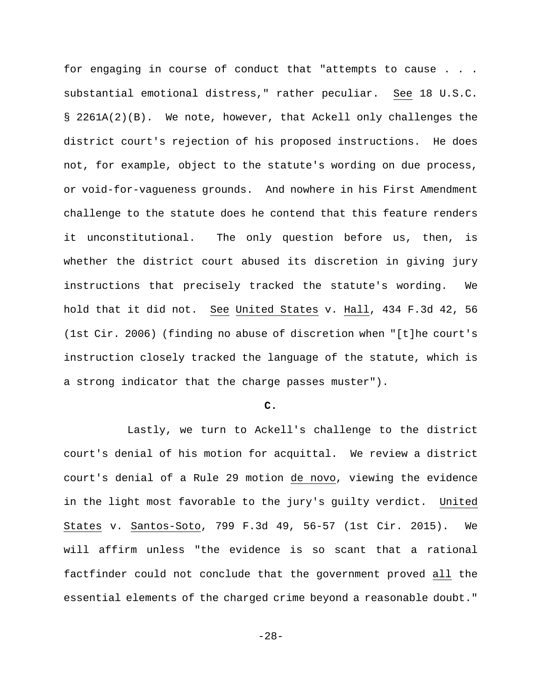for engaging in course of conduct that "attempts to cause . . . substantial emotional distress," rather peculiar. See 18 U.S.C. § 2261A(2)(B). We note, however, that Ackell only challenges the district court's rejection of his proposed instructions. He does not, for example, object to the statute's wording on due process, or void-for-vagueness grounds. And nowhere in his First Amendment challenge to the statute does he contend that this feature renders it unconstitutional. The only question before us, then, is whether the district court abused its discretion in giving jury instructions that precisely tracked the statute's wording. We hold that it did not. See United States v. Hall, 434 F.3d 42, 56 (1st Cir. 2006) (finding no abuse of discretion when "[t]he court's instruction closely tracked the language of the statute, which is a strong indicator that the charge passes muster").

#### **C.**

Lastly, we turn to Ackell's challenge to the district court's denial of his motion for acquittal. We review a district court's denial of a Rule 29 motion de novo, viewing the evidence in the light most favorable to the jury's guilty verdict. United States v. Santos-Soto, 799 F.3d 49, 56-57 (1st Cir. 2015). We will affirm unless "the evidence is so scant that a rational factfinder could not conclude that the government proved all the essential elements of the charged crime beyond a reasonable doubt."

-28-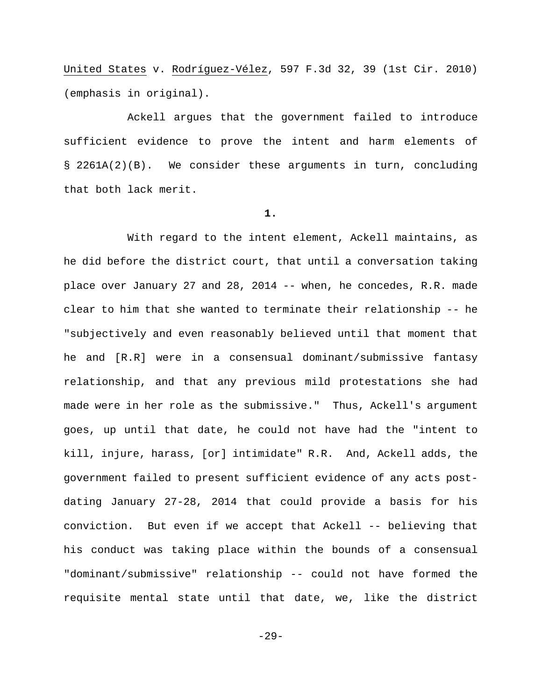United States v. Rodríguez-Vélez, 597 F.3d 32, 39 (1st Cir. 2010) (emphasis in original).

Ackell argues that the government failed to introduce sufficient evidence to prove the intent and harm elements of § 2261A(2)(B). We consider these arguments in turn, concluding that both lack merit.

# **1.**

With regard to the intent element, Ackell maintains, as he did before the district court, that until a conversation taking place over January 27 and 28, 2014 -- when, he concedes, R.R. made clear to him that she wanted to terminate their relationship -- he "subjectively and even reasonably believed until that moment that he and [R.R] were in a consensual dominant/submissive fantasy relationship, and that any previous mild protestations she had made were in her role as the submissive." Thus, Ackell's argument goes, up until that date, he could not have had the "intent to kill, injure, harass, [or] intimidate" R.R. And, Ackell adds, the government failed to present sufficient evidence of any acts postdating January 27-28, 2014 that could provide a basis for his conviction. But even if we accept that Ackell -- believing that his conduct was taking place within the bounds of a consensual "dominant/submissive" relationship -- could not have formed the requisite mental state until that date, we, like the district

-29-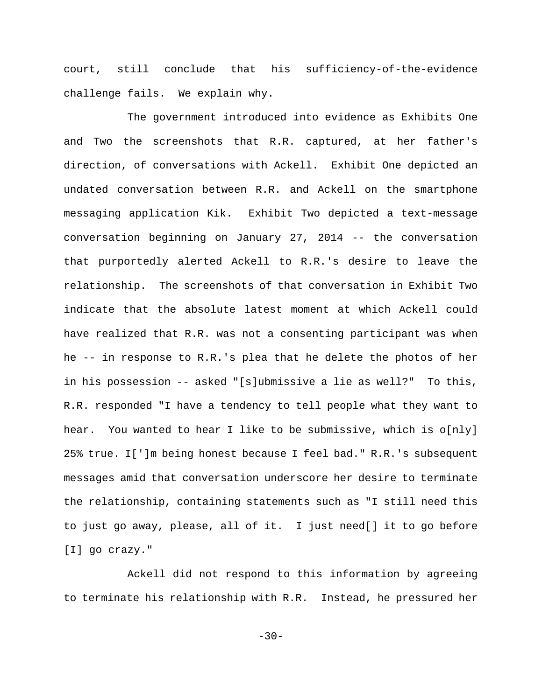court, still conclude that his sufficiency-of-the-evidence challenge fails. We explain why.

The government introduced into evidence as Exhibits One and Two the screenshots that R.R. captured, at her father's direction, of conversations with Ackell. Exhibit One depicted an undated conversation between R.R. and Ackell on the smartphone messaging application Kik. Exhibit Two depicted a text-message conversation beginning on January 27, 2014 -- the conversation that purportedly alerted Ackell to R.R.'s desire to leave the relationship. The screenshots of that conversation in Exhibit Two indicate that the absolute latest moment at which Ackell could have realized that R.R. was not a consenting participant was when he -- in response to R.R.'s plea that he delete the photos of her in his possession -- asked "[s]ubmissive a lie as well?" To this, R.R. responded "I have a tendency to tell people what they want to hear. You wanted to hear I like to be submissive, which is o[nly] 25% true. I[']m being honest because I feel bad." R.R.'s subsequent messages amid that conversation underscore her desire to terminate the relationship, containing statements such as "I still need this to just go away, please, all of it. I just need[] it to go before [I] go crazy."

Ackell did not respond to this information by agreeing to terminate his relationship with R.R. Instead, he pressured her

 $-30-$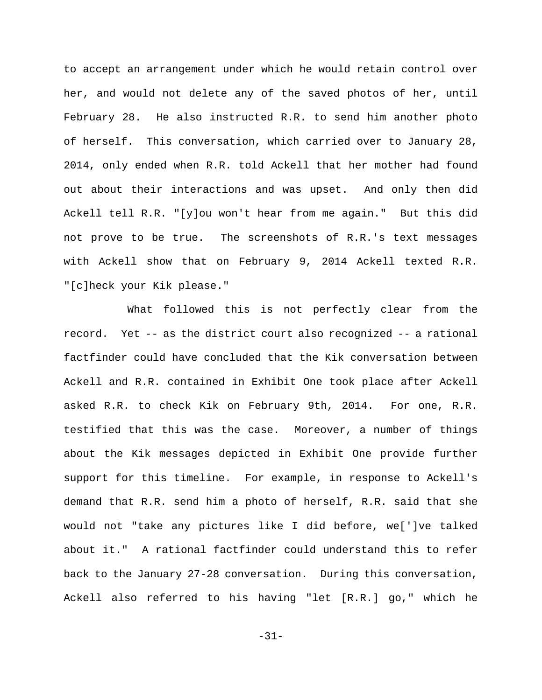to accept an arrangement under which he would retain control over her, and would not delete any of the saved photos of her, until February 28. He also instructed R.R. to send him another photo of herself. This conversation, which carried over to January 28, 2014, only ended when R.R. told Ackell that her mother had found out about their interactions and was upset. And only then did Ackell tell R.R. "[y]ou won't hear from me again." But this did not prove to be true. The screenshots of R.R.'s text messages with Ackell show that on February 9, 2014 Ackell texted R.R. "[c]heck your Kik please."

What followed this is not perfectly clear from the record. Yet -- as the district court also recognized -- a rational factfinder could have concluded that the Kik conversation between Ackell and R.R. contained in Exhibit One took place after Ackell asked R.R. to check Kik on February 9th, 2014. For one, R.R. testified that this was the case. Moreover, a number of things about the Kik messages depicted in Exhibit One provide further support for this timeline. For example, in response to Ackell's demand that R.R. send him a photo of herself, R.R. said that she would not "take any pictures like I did before, we[']ve talked about it." A rational factfinder could understand this to refer back to the January 27-28 conversation. During this conversation, Ackell also referred to his having "let [R.R.] go," which he

-31-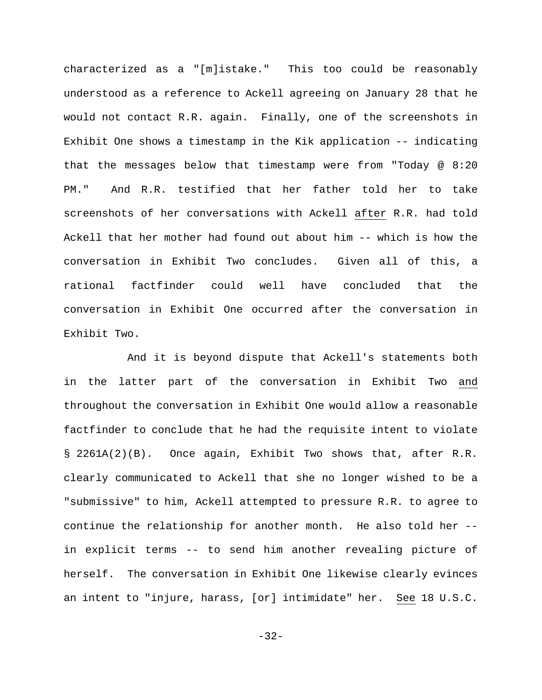characterized as a "[m]istake." This too could be reasonably understood as a reference to Ackell agreeing on January 28 that he would not contact R.R. again. Finally, one of the screenshots in Exhibit One shows a timestamp in the Kik application -- indicating that the messages below that timestamp were from "Today @ 8:20 PM." And R.R. testified that her father told her to take screenshots of her conversations with Ackell after R.R. had told Ackell that her mother had found out about him -- which is how the conversation in Exhibit Two concludes.Given all of this, a rational factfinder could well have concluded that the conversation in Exhibit One occurred after the conversation in Exhibit Two.

And it is beyond dispute that Ackell's statements both in the latter part of the conversation in Exhibit Two and throughout the conversation in Exhibit One would allow a reasonable factfinder to conclude that he had the requisite intent to violate § 2261A(2)(B). Once again, Exhibit Two shows that, after R.R. clearly communicated to Ackell that she no longer wished to be a "submissive" to him, Ackell attempted to pressure R.R. to agree to continue the relationship for another month. He also told her - in explicit terms -- to send him another revealing picture of herself. The conversation in Exhibit One likewise clearly evinces an intent to "injure, harass, [or] intimidate" her. See 18 U.S.C.

-32-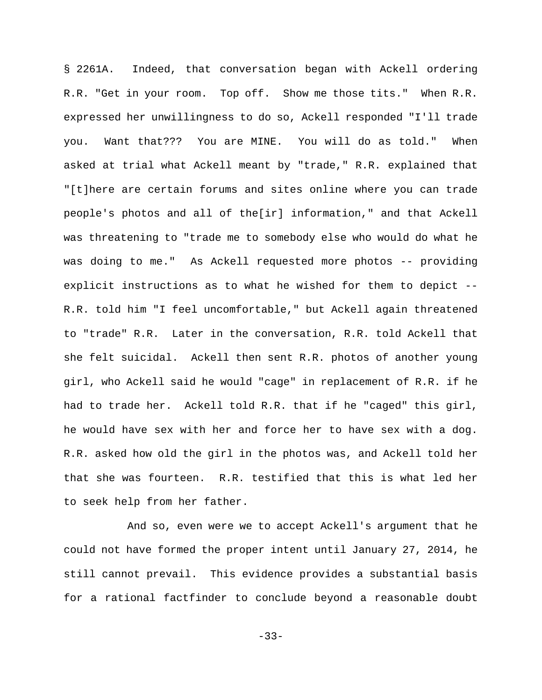§ 2261A. Indeed, that conversation began with Ackell ordering R.R. "Get in your room. Top off. Show me those tits." When R.R. expressed her unwillingness to do so, Ackell responded "I'll trade you. Want that??? You are MINE. You will do as told." When asked at trial what Ackell meant by "trade," R.R. explained that "[t]here are certain forums and sites online where you can trade people's photos and all of the[ir] information," and that Ackell was threatening to "trade me to somebody else who would do what he was doing to me." As Ackell requested more photos -- providing explicit instructions as to what he wished for them to depict -- R.R. told him "I feel uncomfortable," but Ackell again threatened to "trade" R.R. Later in the conversation, R.R. told Ackell that she felt suicidal. Ackell then sent R.R. photos of another young girl, who Ackell said he would "cage" in replacement of R.R. if he had to trade her.Ackell told R.R. that if he "caged" this girl, he would have sex with her and force her to have sex with a dog. R.R. asked how old the girl in the photos was, and Ackell told her that she was fourteen. R.R. testified that this is what led her to seek help from her father.

And so, even were we to accept Ackell's argument that he could not have formed the proper intent until January 27, 2014, he still cannot prevail. This evidence provides a substantial basis for a rational factfinder to conclude beyond a reasonable doubt

-33-